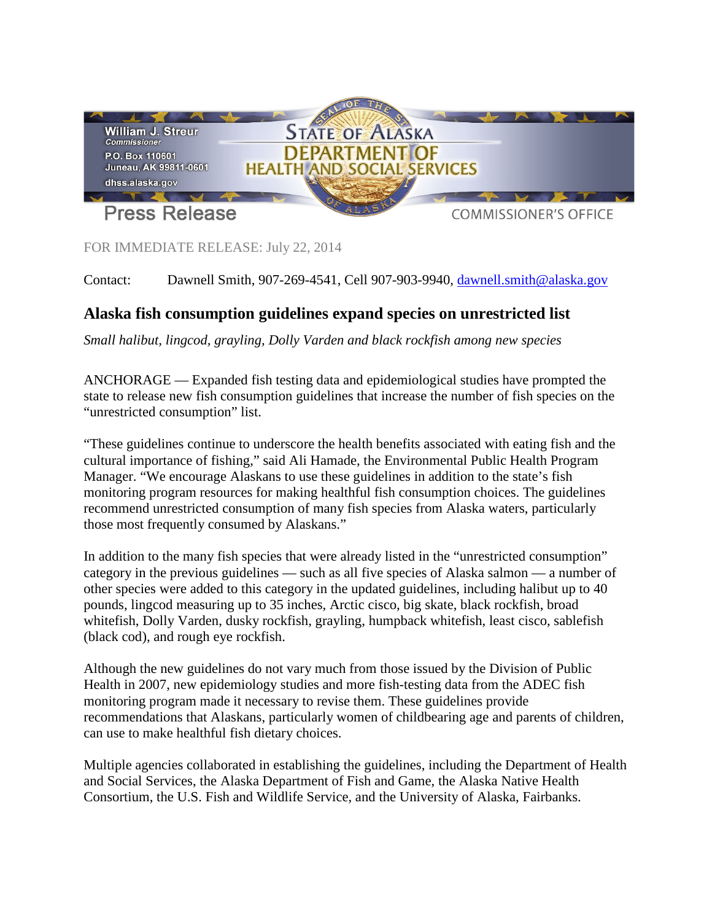

FOR IMMEDIATE RELEASE: July 22, 2014

Contact: Dawnell Smith, 907-269-4541, Cell 907-903-9940, [dawnell.smith@alaska.gov](mailto:dawnell.smith@alaska.gov)

## **Alaska fish consumption guidelines expand species on unrestricted list**

*Small halibut, lingcod, grayling, Dolly Varden and black rockfish among new species*

ANCHORAGE — Expanded fish testing data and epidemiological studies have prompted the state to release new fish consumption guidelines that increase the number of fish species on the "unrestricted consumption" list.

"These guidelines continue to underscore the health benefits associated with eating fish and the cultural importance of fishing," said Ali Hamade, the Environmental Public Health Program Manager. "We encourage Alaskans to use these guidelines in addition to the state's fish monitoring program resources for making healthful fish consumption choices. The guidelines recommend unrestricted consumption of many fish species from Alaska waters, particularly those most frequently consumed by Alaskans."

In addition to the many fish species that were already listed in the "unrestricted consumption" category in the previous guidelines — such as all five species of Alaska salmon — a number of other species were added to this category in the updated guidelines, including halibut up to 40 pounds, lingcod measuring up to 35 inches, Arctic cisco, big skate, black rockfish, broad whitefish, Dolly Varden, dusky rockfish, grayling, humpback whitefish, least cisco, sablefish (black cod), and rough eye rockfish.

Although the new guidelines do not vary much from those issued by the Division of Public Health in 2007, new epidemiology studies and more fish-testing data from the ADEC fish monitoring program made it necessary to revise them. These guidelines provide recommendations that Alaskans, particularly women of childbearing age and parents of children, can use to make healthful fish dietary choices.

Multiple agencies collaborated in establishing the guidelines, including the Department of Health and Social Services, the Alaska Department of Fish and Game, the Alaska Native Health Consortium, the U.S. Fish and Wildlife Service, and the University of Alaska, Fairbanks.